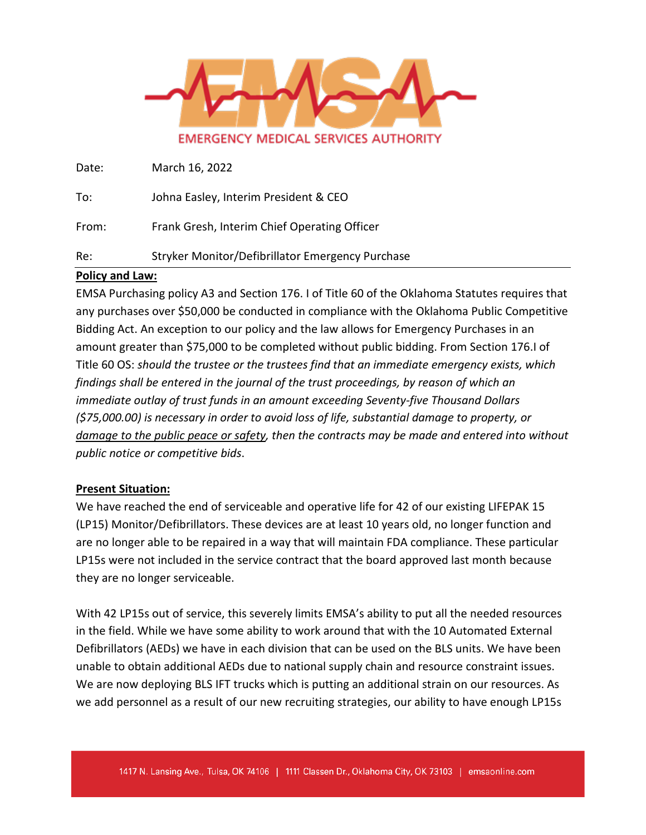

Date: March 16, 2022

To: Johna Easley, Interim President & CEO

From: Frank Gresh, Interim Chief Operating Officer

Re: Stryker Monitor/Defibrillator Emergency Purchase

### **Policy and Law:**

EMSA Purchasing policy A3 and Section 176. I of Title 60 of the Oklahoma Statutes requires that any purchases over \$50,000 be conducted in compliance with the Oklahoma Public Competitive Bidding Act. An exception to our policy and the law allows for Emergency Purchases in an amount greater than \$75,000 to be completed without public bidding. From Section 176.I of Title 60 OS: *should the trustee or the trustees find that an immediate emergency exists, which findings shall be entered in the journal of the trust proceedings, by reason of which an immediate outlay of trust funds in an amount exceeding Seventy-five Thousand Dollars (\$75,000.00) is necessary in order to avoid loss of life, substantial damage to property, or damage to the public peace or safety, then the contracts may be made and entered into without public notice or competitive bids*.

### **Present Situation:**

We have reached the end of serviceable and operative life for 42 of our existing LIFEPAK 15 (LP15) Monitor/Defibrillators. These devices are at least 10 years old, no longer function and are no longer able to be repaired in a way that will maintain FDA compliance. These particular LP15s were not included in the service contract that the board approved last month because they are no longer serviceable.

With 42 LP15s out of service, this severely limits EMSA's ability to put all the needed resources in the field. While we have some ability to work around that with the 10 Automated External Defibrillators (AEDs) we have in each division that can be used on the BLS units. We have been unable to obtain additional AEDs due to national supply chain and resource constraint issues. We are now deploying BLS IFT trucks which is putting an additional strain on our resources. As we add personnel as a result of our new recruiting strategies, our ability to have enough LP15s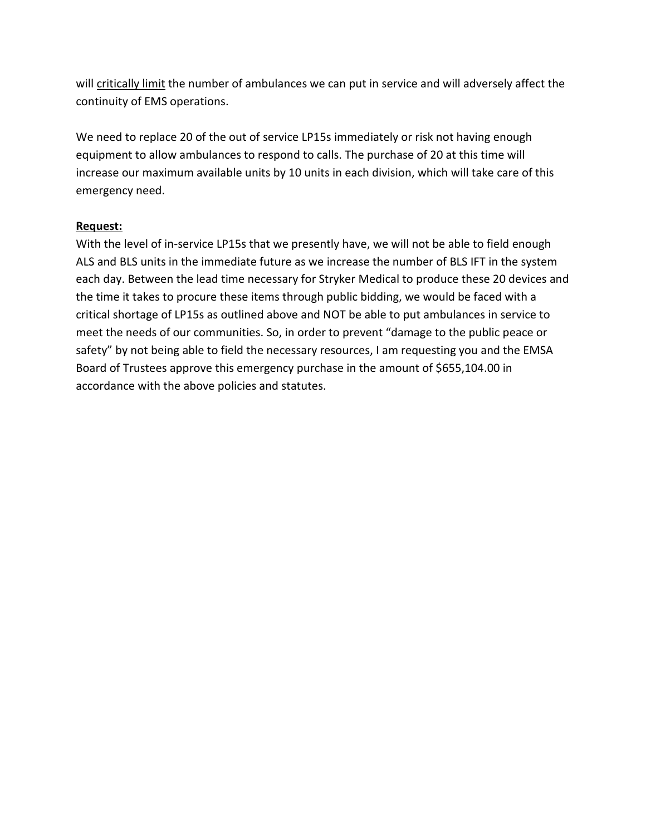will critically limit the number of ambulances we can put in service and will adversely affect the continuity of EMS operations.

We need to replace 20 of the out of service LP15s immediately or risk not having enough equipment to allow ambulances to respond to calls. The purchase of 20 at this time will increase our maximum available units by 10 units in each division, which will take care of this emergency need.

### **Request:**

With the level of in-service LP15s that we presently have, we will not be able to field enough ALS and BLS units in the immediate future as we increase the number of BLS IFT in the system each day. Between the lead time necessary for Stryker Medical to produce these 20 devices and the time it takes to procure these items through public bidding, we would be faced with a critical shortage of LP15s as outlined above and NOT be able to put ambulances in service to meet the needs of our communities. So, in order to prevent "damage to the public peace or safety" by not being able to field the necessary resources, I am requesting you and the EMSA Board of Trustees approve this emergency purchase in the amount of \$655,104.00 in accordance with the above policies and statutes.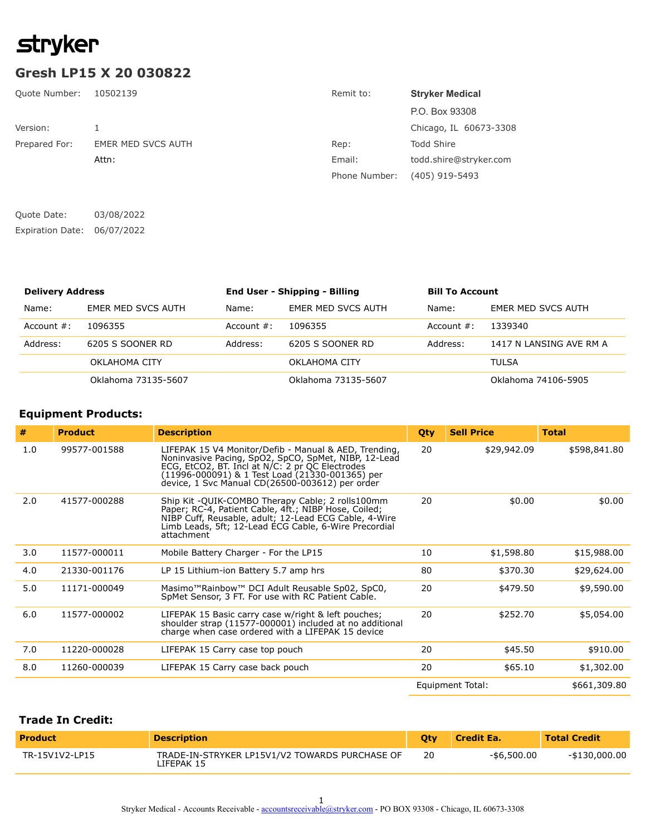# **stryker**

### **Gresh LP15 X 20 030822**

| Quote Number: | 10502139           | Remit to:     | <b>Stryker Medical</b> |
|---------------|--------------------|---------------|------------------------|
|               |                    |               | P.O. Box 93308         |
| Version:      |                    |               | Chicago, IL 60673-3308 |
| Prepared For: | EMER MED SVCS AUTH | Rep:          | <b>Todd Shire</b>      |
|               | Attn:              | Email:        | todd.shire@stryker.com |
|               |                    | Phone Number: | $(405)$ 919-5493       |
|               |                    |               |                        |
|               |                    |               |                        |

| Expiration Date: 06/07/2022 |  |  |
|-----------------------------|--|--|
|                             |  |  |

| <b>Delivery Address</b> |                     |               | <b>End User - Shipping - Billing</b> | <b>Bill To Account</b> |                         |
|-------------------------|---------------------|---------------|--------------------------------------|------------------------|-------------------------|
| Name:                   | EMER MED SVCS AUTH  | Name:         | EMER MED SVCS AUTH                   | Name:                  | EMER MED SVCS AUTH      |
| Account $#$ :           | 1096355             | Account $#$ : | 1096355                              | Account $#$ :          | 1339340                 |
| Address:                | 6205 S SOONER RD    | Address:      | 6205 S SOONER RD                     | Address:               | 1417 N LANSING AVE RM A |
|                         | OKLAHOMA CITY       |               | OKLAHOMA CITY                        |                        | <b>TULSA</b>            |
|                         | Oklahoma 73135-5607 |               | Oklahoma 73135-5607                  |                        | Oklahoma 74106-5905     |

### **Equipment Products:**

Quote Date: 03/08/2022

| #   | <b>Product</b> | <b>Description</b>                                                                                                                                                                                                                                                     | Qty | <b>Sell Price</b> | <b>Total</b> |
|-----|----------------|------------------------------------------------------------------------------------------------------------------------------------------------------------------------------------------------------------------------------------------------------------------------|-----|-------------------|--------------|
| 1.0 | 99577-001588   | LIFEPAK 15 V4 Monitor/Defib - Manual & AED, Trending,<br>Noninvasive Pacing, SpO2, SpCO, SpMet, NIBP, 12-Lead<br>ECG, EtCO2, BT. Incl at N/C: 2 pr QC Electrodes<br>(11996-000091) & 1 Test Load (21330-001365) per<br>device, 1 Svc Manual CD(26500-003612) per order | 20  | \$29,942.09       | \$598,841.80 |
| 2.0 | 41577-000288   | Ship Kit -QUIK-COMBO Therapy Cable; 2 rolls100mm<br>Paper; RC-4, Patient Cable, 4ft.; NIBP Hose, Coiled;<br>NIBP Cuff, Reusable, adult; 12-Lead ECG Cable, 4-Wire<br>Limb Leads, 5ft; 12-Lead ECG Cable, 6-Wire Precordial<br>attachment                               | 20  | \$0.00            | \$0.00       |
| 3.0 | 11577-000011   | Mobile Battery Charger - For the LP15                                                                                                                                                                                                                                  | 10  | \$1,598.80        | \$15,988.00  |
| 4.0 | 21330-001176   | LP 15 Lithium-ion Battery 5.7 amp hrs                                                                                                                                                                                                                                  | 80  | \$370.30          | \$29,624.00  |
| 5.0 | 11171-000049   | Masimo <sup>™</sup> Rainbow™ DCI Adult Reusable Sp02, SpC0,<br>SpMet Sensor, 3 FT. For use with RC Patient Cable.                                                                                                                                                      | 20  | \$479.50          | \$9,590.00   |
| 6.0 | 11577-000002   | LIFEPAK 15 Basic carry case w/right & left pouches;<br>shoulder strap (11577-000001) included at no additional<br>charge when case ordered with a LIFEPAK 15 device                                                                                                    | 20  | \$252.70          | \$5,054.00   |
| 7.0 | 11220-000028   | LIFEPAK 15 Carry case top pouch                                                                                                                                                                                                                                        | 20  | \$45.50           | \$910.00     |
| 8.0 | 11260-000039   | LIFEPAK 15 Carry case back pouch                                                                                                                                                                                                                                       | 20  | \$65.10           | \$1,302.00   |
|     |                |                                                                                                                                                                                                                                                                        |     | Equipment Total:  | \$661,309.80 |

### **Trade In Credit:**

| <b>Product</b> | <b>Description</b>                                           |    | <b>Credit East</b> | <b>Total Credit</b> |
|----------------|--------------------------------------------------------------|----|--------------------|---------------------|
| TR-15V1V2-LP15 | TRADE-IN-STRYKER LP15V1/V2 TOWARDS PURCHASE OF<br>IFEPAK 15. | 20 | -\$6,500.00        | -\$130,000.00       |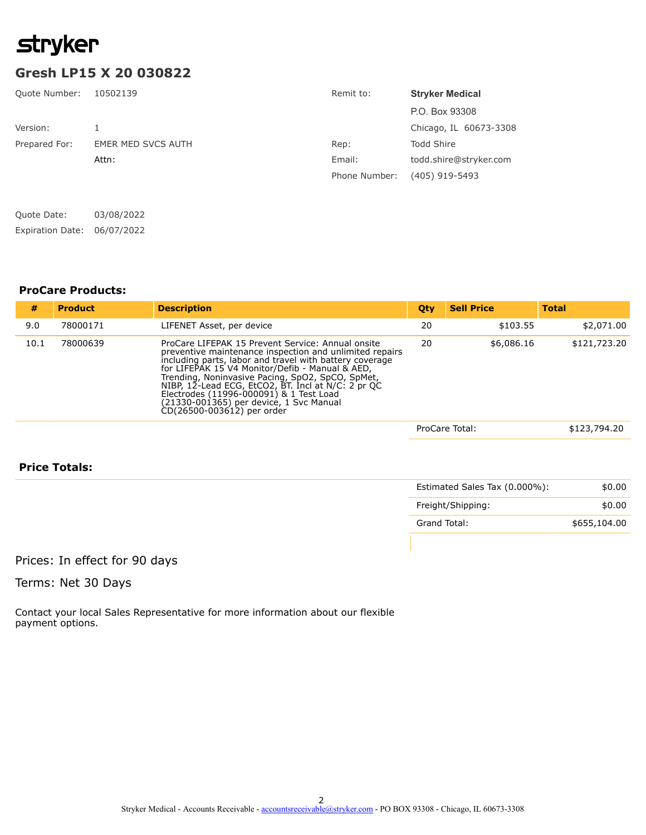# **stryker**

## **Gresh LP15 X 20 030822**

| <b>Quote Number:</b>    | 10502139                  | Remit to:     | <b>Stryker Medical</b> |
|-------------------------|---------------------------|---------------|------------------------|
|                         |                           |               | P.O. Box 93308         |
| Version:                |                           |               | Chicago, IL 60673-3308 |
| Prepared For:           | <b>EMER MED SVCS AUTH</b> | Rep:          | <b>Todd Shire</b>      |
|                         | Attn:                     | Email:        | todd.shire@stryker.com |
|                         |                           | Phone Number: | $(405)$ 919-5493       |
| Quote Date:             | 03/08/2022                |               |                        |
| <b>Expiration Date:</b> | 06/07/2022                |               |                        |

#### **ProCare Products:**

| #    | <b>Product</b> | <b>Description</b>                                                                                                                                                                                                                                                                                                                                                                                                                                       | Qty | <b>Sell Price</b> | <b>Total</b> |
|------|----------------|----------------------------------------------------------------------------------------------------------------------------------------------------------------------------------------------------------------------------------------------------------------------------------------------------------------------------------------------------------------------------------------------------------------------------------------------------------|-----|-------------------|--------------|
| 9.0  | 78000171       | LIFENET Asset, per device                                                                                                                                                                                                                                                                                                                                                                                                                                | 20  | \$103.55          | \$2,071.00   |
| 10.1 | 78000639       | ProCare LIFEPAK 15 Prevent Service: Annual onsite<br>preventive maintenance inspection and unlimited repairs<br>including parts, labor and travel with battery coverage<br>for LIFEPAK 15 V4 Monitor/Defib - Manual & AED,<br>Trending, Noninvasive Pacing, SpO2, SpCO, SpMet,<br>NIBP, 12-Lead ECG, EtCO2, BT. Incl at N/C: 2 pr QC<br>Electrodes (11996-000091) & 1 Test Load<br>(21330-001365) per device, 1 Svc Manual<br>CD(26500-003612) per order | 20  | \$6,086.16        | \$121,723.20 |
|      |                |                                                                                                                                                                                                                                                                                                                                                                                                                                                          |     | ProCare Total:    | \$123,794.20 |

### **Price Totals:**

| Freight/Shipping:            |
|------------------------------|
| \$655,104.00<br>Grand Total: |
|                              |

### Prices: In effect for 90 days

Terms: Net 30 Days

Contact your local Sales Representative for more information about our flexible payment options.